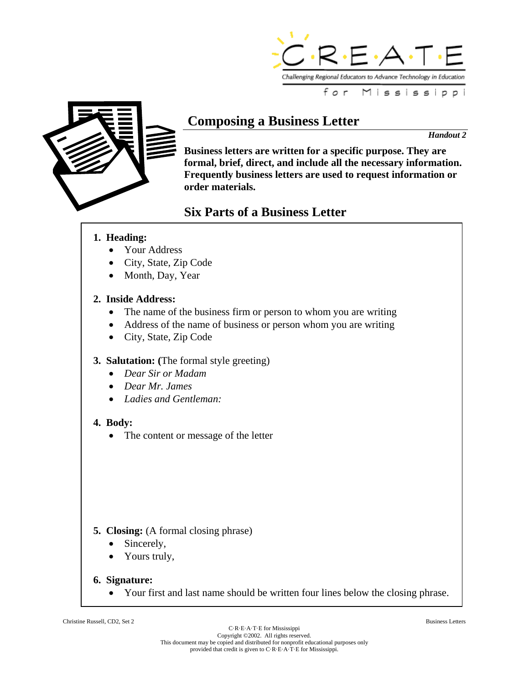



# **Composing a Business Letter**

*Handout 2* 

**Business letters are written for a specific purpose. They are formal, brief, direct, and include all the necessary information. Frequently business letters are used to request information or order materials.** 

## **Six Parts of a Business Letter**

## **1. Heading:**

- Your Address
- City, State, Zip Code
- Month, Day, Year

## **2. Inside Address:**

- The name of the business firm or person to whom you are writing
- Address of the name of business or person whom you are writing
- City, State, Zip Code

## **3. Salutation: (**The formal style greeting)

- *Dear Sir or Madam*
- *Dear Mr. James*
- *Ladies and Gentleman:*

## **4. Body:**

• The content or message of the letter

## **5. Closing:** (A formal closing phrase)

- Sincerely,
- Yours truly,

## **6. Signature:**

Your first and last name should be written four lines below the closing phrase.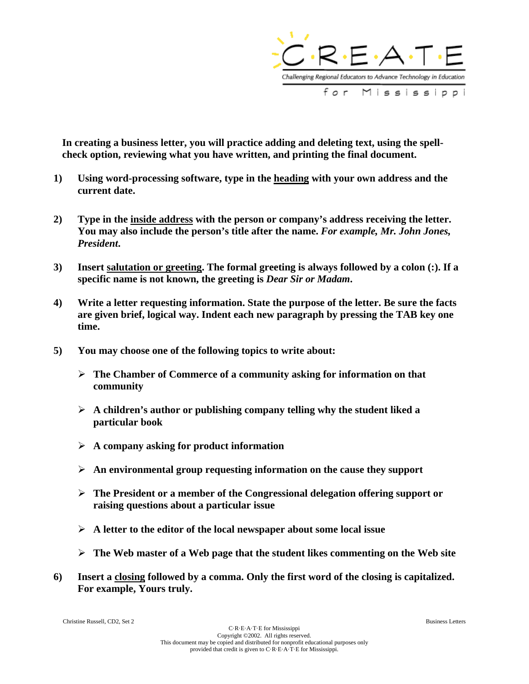

**In creating a business letter, you will practice adding and deleting text, using the spellcheck option, reviewing what you have written, and printing the final document.** 

- **1) Using word-processing software, type in the heading with your own address and the current date.**
- **2) Type in the inside address with the person or company's address receiving the letter. You may also include the person's title after the name.** *For example, Mr. John Jones, President***.**
- **3) Insert salutation or greeting. The formal greeting is always followed by a colon (:). If a specific name is not known, the greeting is** *Dear Sir or Madam***.**
- **4) Write a letter requesting information. State the purpose of the letter. Be sure the facts are given brief, logical way. Indent each new paragraph by pressing the TAB key one time.**
- **5) You may choose one of the following topics to write about:** 
	- **The Chamber of Commerce of a community asking for information on that community**
	- **A children's author or publishing company telling why the student liked a particular book**
	- **A company asking for product information**
	- **An environmental group requesting information on the cause they support**
	- **The President or a member of the Congressional delegation offering support or raising questions about a particular issue**
	- **A letter to the editor of the local newspaper about some local issue**
	- **The Web master of a Web page that the student likes commenting on the Web site**
- **6) Insert a closing followed by a comma. Only the first word of the closing is capitalized. For example, Yours truly.**

Christine Russell, CD2, Set 2 Business Letters